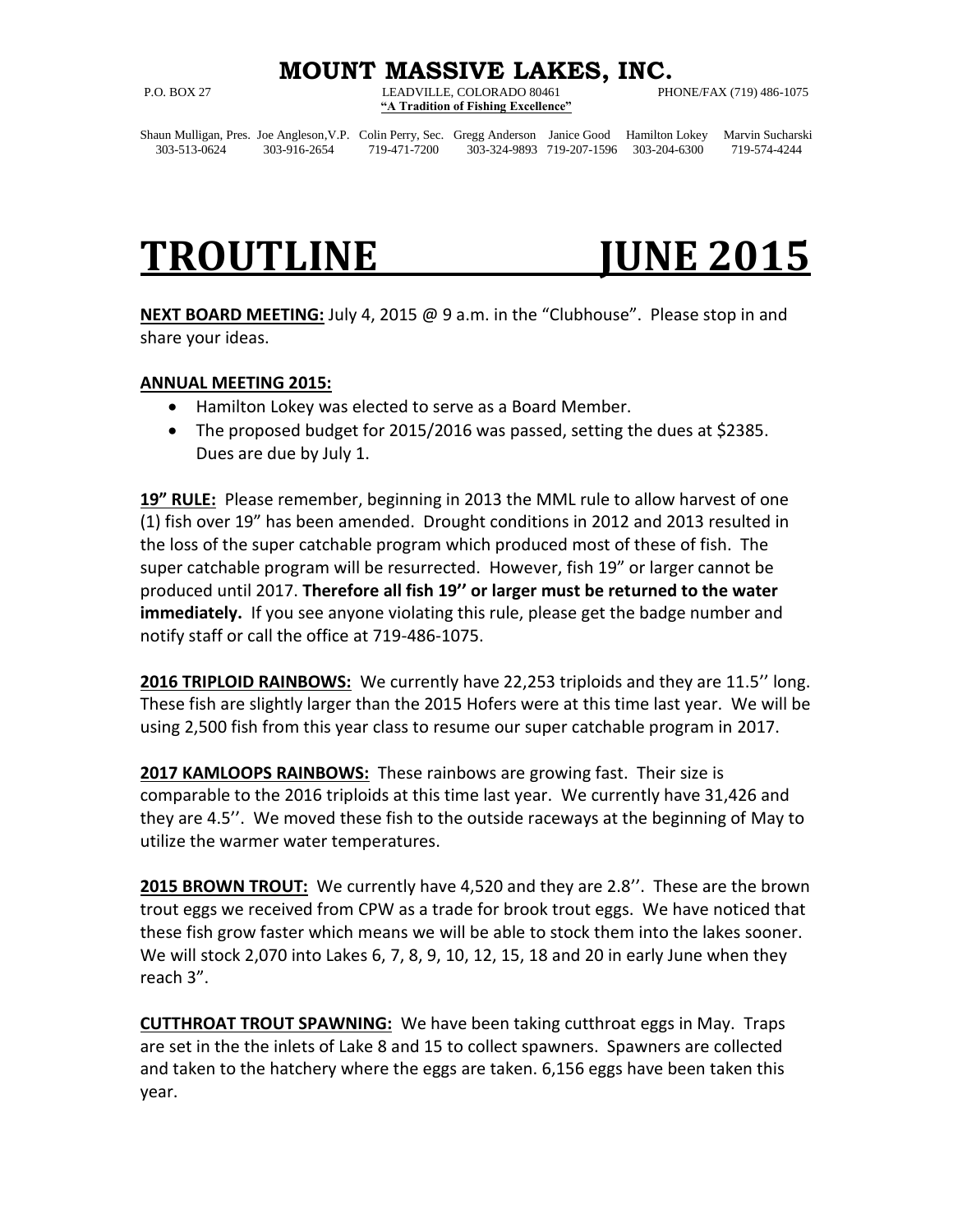### **MOUNT MASSIVE LAKES, INC.**

P.O. BOX 27 LEADVILLE, COLORADO 80461 PHONE/FAX (719) 486-1075 **"A Tradition of Fishing Excellence"**

Shaun Mulligan, Pres. Joe Angleson,V.P. Colin Perry, Sec. Gregg Anderson Janice Good Hamilton Lokey Marvin Sucharski 303-513-0624 303-916-2654 719-471-7200 303-324-9893 719-207-1596 303-204-6300 719-574-4244

# **TROUTLINE JUNE 2015**

**NEXT BOARD MEETING:** July 4, 2015 @ 9 a.m. in the "Clubhouse". Please stop in and share your ideas.

### **ANNUAL MEETING 2015:**

- Hamilton Lokey was elected to serve as a Board Member.
- The proposed budget for 2015/2016 was passed, setting the dues at \$2385. Dues are due by July 1.

**19" RULE:** Please remember, beginning in 2013 the MML rule to allow harvest of one (1) fish over 19" has been amended. Drought conditions in 2012 and 2013 resulted in the loss of the super catchable program which produced most of these of fish. The super catchable program will be resurrected. However, fish 19" or larger cannot be produced until 2017. **Therefore all fish 19'' or larger must be returned to the water immediately.** If you see anyone violating this rule, please get the badge number and notify staff or call the office at 719-486-1075.

**2016 TRIPLOID RAINBOWS:** We currently have 22,253 triploids and they are 11.5'' long. These fish are slightly larger than the 2015 Hofers were at this time last year. We will be using 2,500 fish from this year class to resume our super catchable program in 2017.

**2017 KAMLOOPS RAINBOWS:** These rainbows are growing fast. Their size is comparable to the 2016 triploids at this time last year. We currently have 31,426 and they are 4.5''. We moved these fish to the outside raceways at the beginning of May to utilize the warmer water temperatures.

**2015 BROWN TROUT:** We currently have 4,520 and they are 2.8''. These are the brown trout eggs we received from CPW as a trade for brook trout eggs. We have noticed that these fish grow faster which means we will be able to stock them into the lakes sooner. We will stock 2,070 into Lakes 6, 7, 8, 9, 10, 12, 15, 18 and 20 in early June when they reach 3".

**CUTTHROAT TROUT SPAWNING:** We have been taking cutthroat eggs in May. Traps are set in the the inlets of Lake 8 and 15 to collect spawners. Spawners are collected and taken to the hatchery where the eggs are taken. 6,156 eggs have been taken this year.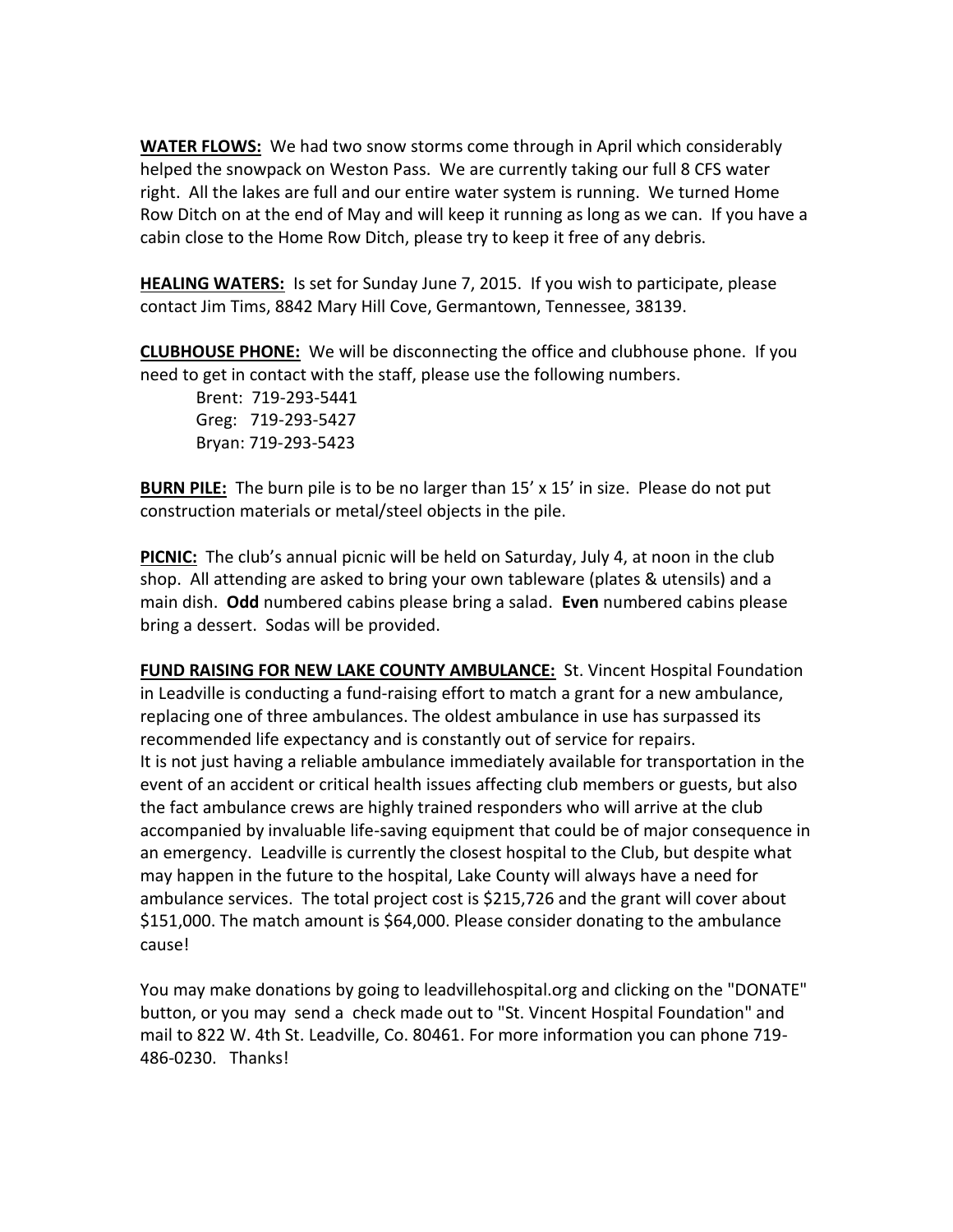**WATER FLOWS:** We had two snow storms come through in April which considerably helped the snowpack on Weston Pass. We are currently taking our full 8 CFS water right. All the lakes are full and our entire water system is running. We turned Home Row Ditch on at the end of May and will keep it running as long as we can. If you have a cabin close to the Home Row Ditch, please try to keep it free of any debris.

**HEALING WATERS:** Is set for Sunday June 7, 2015. If you wish to participate, please contact Jim Tims, 8842 Mary Hill Cove, Germantown, Tennessee, 38139.

**CLUBHOUSE PHONE:** We will be disconnecting the office and clubhouse phone. If you need to get in contact with the staff, please use the following numbers.

Brent: 719-293-5441 Greg: 719-293-5427 Bryan: 719-293-5423

**BURN PILE:** The burn pile is to be no larger than 15' x 15' in size. Please do not put construction materials or metal/steel objects in the pile.

**PICNIC:** The club's annual picnic will be held on Saturday, July 4, at noon in the club shop. All attending are asked to bring your own tableware (plates & utensils) and a main dish. **Odd** numbered cabins please bring a salad. **Even** numbered cabins please bring a dessert. Sodas will be provided.

**FUND RAISING FOR NEW LAKE COUNTY AMBULANCE:** St. Vincent Hospital Foundation in Leadville is conducting a fund-raising effort to match a grant for a new ambulance, replacing one of three ambulances. The oldest ambulance in use has surpassed its recommended life expectancy and is constantly out of service for repairs. It is not just having a reliable ambulance immediately available for transportation in the event of an accident or critical health issues affecting club members or guests, but also the fact ambulance crews are highly trained responders who will arrive at the club accompanied by invaluable life-saving equipment that could be of major consequence in an emergency. Leadville is currently the closest hospital to the Club, but despite what may happen in the future to the hospital, Lake County will always have a need for ambulance services. The total project cost is \$215,726 and the grant will cover about \$151,000. The match amount is \$64,000. Please consider donating to the ambulance cause!

You may make donations by going to leadvillehospital.org and clicking on the "DONATE" button, or you may send a check made out to "St. Vincent Hospital Foundation" and mail to 822 W. 4th St. Leadville, Co. 80461. For more information you can phone 719- 486-0230. Thanks!